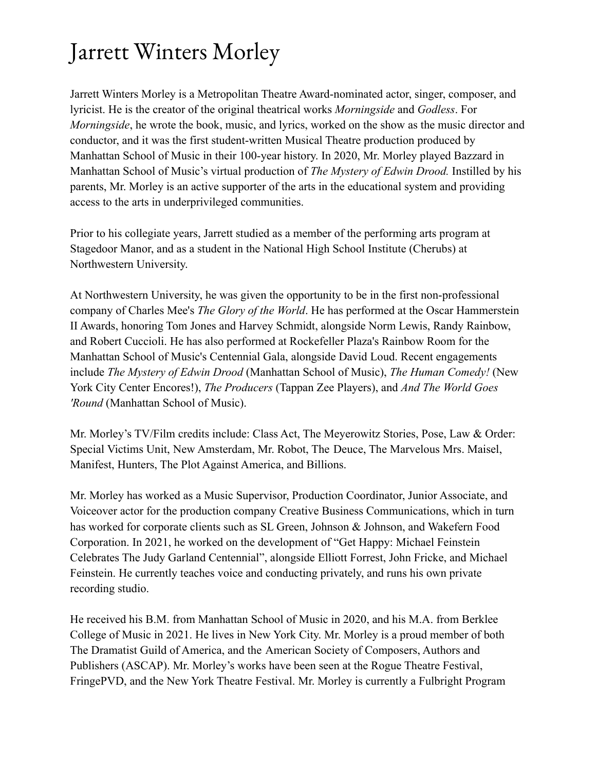## Jarrett Winters Morley

Jarrett Winters Morley is a Metropolitan Theatre Award-nominated actor, singer, composer, and lyricist. He is the creator of the original theatrical works *Morningside* and *Godless*. For *Morningside*, he wrote the book, music, and lyrics, worked on the show as the music director and conductor, and it was the first student-written Musical Theatre production produced by Manhattan School of Music in their 100-year history. In 2020, Mr. Morley played Bazzard in Manhattan School of Music's virtual production of *The Mystery of Edwin Drood.* Instilled by his parents, Mr. Morley is an active supporter of the arts in the educational system and providing access to the arts in underprivileged communities.

Prior to his collegiate years, Jarrett studied as a member of the performing arts program at Stagedoor Manor, and as a student in the National High School Institute (Cherubs) at Northwestern University.

At Northwestern University, he was given the opportunity to be in the first non-professional company of Charles Mee's *The Glory of the World*. He has performed at the Oscar Hammerstein II Awards, honoring Tom Jones and Harvey Schmidt, alongside Norm Lewis, Randy Rainbow, and Robert Cuccioli. He has also performed at Rockefeller Plaza's Rainbow Room for the Manhattan School of Music's Centennial Gala, alongside David Loud. Recent engagements include *The Mystery of Edwin Drood* (Manhattan School of Music), *The Human Comedy!* (New York City Center Encores!), *The Producers* (Tappan Zee Players), and *And The World Goes 'Round* (Manhattan School of Music).

Mr. Morley's TV/Film credits include: Class Act, The Meyerowitz Stories, Pose, Law & Order: Special Victims Unit, New Amsterdam, Mr. Robot, The Deuce, The Marvelous Mrs. Maisel, Manifest, Hunters, The Plot Against America, and Billions.

Mr. Morley has worked as a Music Supervisor, Production Coordinator, Junior Associate, and Voiceover actor for the production company Creative Business Communications, which in turn has worked for corporate clients such as SL Green, Johnson & Johnson, and Wakefern Food Corporation. In 2021, he worked on the development of "Get Happy: Michael Feinstein Celebrates The Judy Garland Centennial", alongside Elliott Forrest, John Fricke, and Michael Feinstein. He currently teaches voice and conducting privately, and runs his own private recording studio.

He received his B.M. from Manhattan School of Music in 2020, and his M.A. from Berklee College of Music in 2021. He lives in New York City. Mr. Morley is a proud member of both The Dramatist Guild of America, and the American Society of Composers, Authors and Publishers (ASCAP). Mr. Morley's works have been seen at the Rogue Theatre Festival, FringePVD, and the New York Theatre Festival. Mr. Morley is currently a Fulbright Program